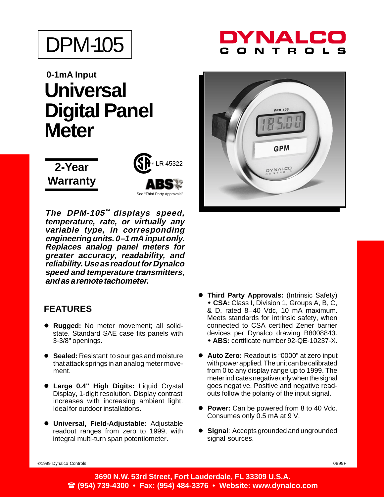

# **0-1mA Input Universal Digital Panel Meter**





**The DPM-105™ displays speed, temperature, rate, or virtually any variable type, in corresponding engineering units. 0–1 mA input only. Replaces analog panel meters for greater accuracy, readability, and reliability. Use as readout for Dynalco speed and temperature transmitters, and as a remote tachometer.**

#### **FEATURES**

- **Rugged:** No meter movement; all solidstate. Standard SAE case fits panels with 3-3/8" openings.
- **Sealed:** Resistant to sour gas and moisture that attack springs in an analog meter movement.
- **Large 0.4" High Digits:** Liquid Crystal Display, 1-digit resolution. Display contrast increases with increasing ambient light. Ideal for outdoor installations.
- **Universal, Field-Adjustable:** Adjustable readout ranges from zero to 1999, with integral multi-turn span potentiometer.

## YNAL  $\mathbf{T}$



- **Third Party Approvals:** (Intrinsic Safety) - **CSA:** Class I, Division 1, Groups A, B, C, & D, rated 8–40 Vdc, 10 mA maximum. Meets standards for intrinsic safety, when connected to CSA certified Zener barrier devices per Dynalco drawing B8008843. - **ABS:** certificate number 92-QE-10237-X.
- **Auto Zero:** Readout is "0000" at zero input with power applied. The unit can be calibrated from 0 to any display range up to 1999. The meter indicates negative only when the signal goes negative. Positive and negative readouts follow the polarity of the input signal.
- **Power:** Can be powered from 8 to 40 Vdc. Consumes only 0.5 mA at 9 V.
- **Signal**: Accepts grounded and ungrounded signal sources.

©1999 Dynalco Controls 0899F